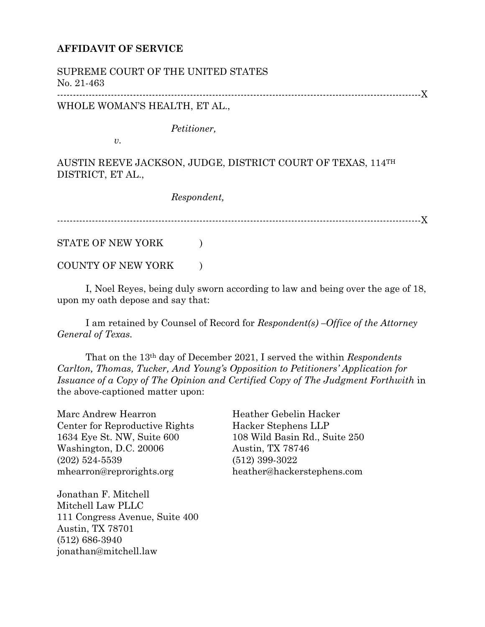## **AFFIDAVIT OF SERVICE**

SUPREME COURT OF THE UNITED STATES No. 21-463 -------------------------------------------------------------------------------------------------------------------X WHOLE WOMAN'S HEALTH, ET AL.,

*Petitioner,*

*v.*

AUSTIN REEVE JACKSON, JUDGE, DISTRICT COURT OF TEXAS, 114TH DISTRICT, ET AL.,

*Respondent,*

-------------------------------------------------------------------------------------------------------------------X

STATE OF NEW YORK  $\hspace{1.5cm}$ 

COUNTY OF NEW YORK  $\qquad$  )

I, Noel Reyes, being duly sworn according to law and being over the age of 18, upon my oath depose and say that:

I am retained by Counsel of Record for *Respondent(s) –Office of the Attorney General of Texas.*

That on the 13th day of December 2021, I served the within *Respondents Carlton, Thomas, Tucker, And Young's Opposition to Petitioners' Application for Issuance of a Copy of The Opinion and Certified Copy of The Judgment Forthwith* in the above-captioned matter upon:

Marc Andrew Hearron Center for Reproductive Rights 1634 Eye St. NW, Suite 600 Washington, D.C. 20006 (202) 524-5539 mhearron@reprorights.org

Jonathan F. Mitchell Mitchell Law PLLC 111 Congress Avenue, Suite 400 Austin, TX 78701 (512) 686-3940 jonathan@mitchell.law

Heather Gebelin Hacker Hacker Stephens LLP 108 Wild Basin Rd., Suite 250 Austin, TX 78746 (512) 399-3022 heather@hackerstephens.com